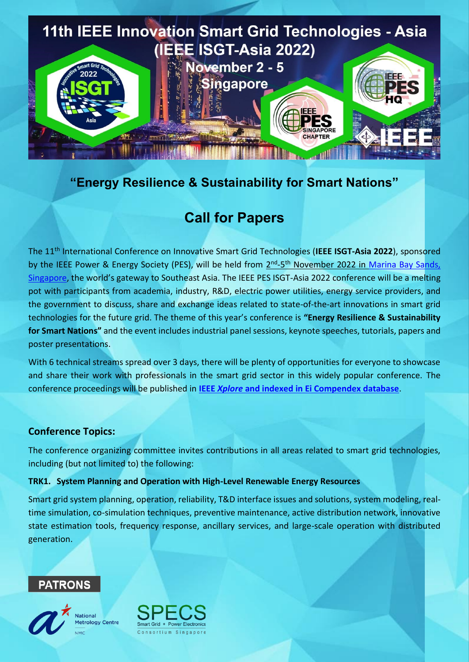

# **"Energy Resilience & Sustainability for Smart Nations"**

# **Call for Papers**

The 11th International Conference on Innovative Smart Grid Technologies (**IEEE ISGT-Asia 2022**), sponsored by the IEEE Power & Energy Society (PES), will be held from 2<sup>nd</sup>-5<sup>th</sup> November 2022 in Marina Bay Sands, [Singapore](https://ieee-isgt-asia.org/wp-content/uploads/sites/409/2022/02/Sands-EXPO-floorplan-eBook_ENUpdated-Mar-16.pdf), the world's gateway to Southeast Asia. The IEEE PES ISGT-Asia 2022 conference will be a melting pot with participants from academia, industry, R&D, electric power utilities, energy service providers, and the government to discuss, share and exchange ideas related to state-of-the-art innovations in smart grid technologies for the future grid. The theme of this year's conference is **"Energy Resilience & Sustainability for Smart Nations"** and the event includes industrial panel sessions, keynote speeches, tutorials, papers and poster presentations.

With 6 technical streams spread over 3 days, there will be plenty of opportunities for everyone to showcase and share their work with professionals in the smart grid sector in this widely popular conference. The conference proceedings will be published in **IEEE** *Xplore* **[and indexed in Ei Compendex database](https://ieeexplore.ieee.org/xpl/conhome/1801868/all-proceedings)**.

### **Conference Topics:**

The conference organizing committee invites contributions in all areas related to smart grid technologies, including (but not limited to) the following:

#### **TRK1. System Planning and Operation with High-Level Renewable Energy Resources**

Smart grid system planning, operation, reliability, T&D interface issues and solutions, system modeling, realtime simulation, co-simulation techniques, preventive maintenance, active distribution network, innovative state estimation tools, frequency response, ancillary services, and large-scale operation with distributed generation.

### **PATRONS**

**National** 





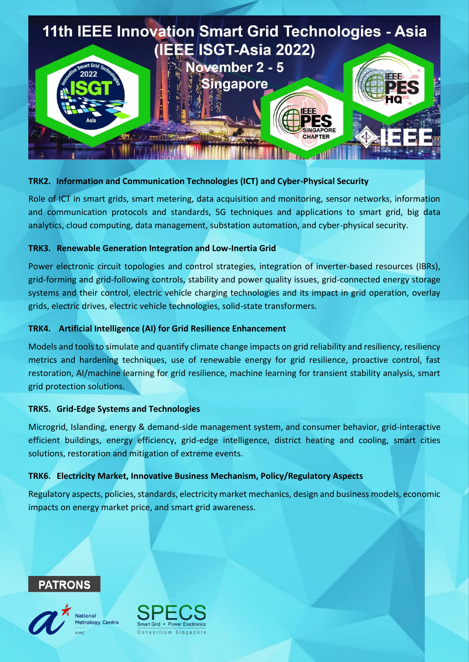

#### **TRK2. Information and Communication Technologies (ICT) and Cyber-Physical Security**

Role of ICT in smart grids, smart metering, data acquisition and monitoring, sensor networks, information and communication protocols and standards, 5G techniques and applications to smart grid, big data analytics, cloud computing, data management, substation automation, and cyber-physical security.

#### **TRK3. Renewable Generation Integration and Low-Inertia Grid**

Power electronic circuit topologies and control strategies, integration of inverter-based resources (IBRs), grid-forming and grid-following controls, stability and power quality issues, grid-connected energy storage systems and their control, electric vehicle charging technologies and its impact in grid operation, overlay grids, electric drives, electric vehicle technologies, solid-state transformers.

#### **TRK4. Artificial Intelligence (AI) for Grid Resilience Enhancement**

Models and tools to simulate and quantify climate change impacts on grid reliability and resiliency, resiliency metrics and hardening techniques, use of renewable energy for grid resilience, proactive control, fast restoration, AI/machine learning for grid resilience, machine learning for transient stability analysis, smart grid protection solutions.

#### **TRK5. Grid-Edge Systems and Technologies**

Microgrid, Islanding, energy & demand-side management system, and consumer behavior, grid-interactive efficient buildings, energy efficiency, grid-edge intelligence, district heating and cooling, smart cities solutions, restoration and mitigation of extreme events.

#### **TRK6. Electricity Market, Innovative Business Mechanism, Policy/Regulatory Aspects**

Regulatory aspects, policies, standards, electricity market mechanics, design and business models, economic impacts on energy market price, and smart grid awareness.





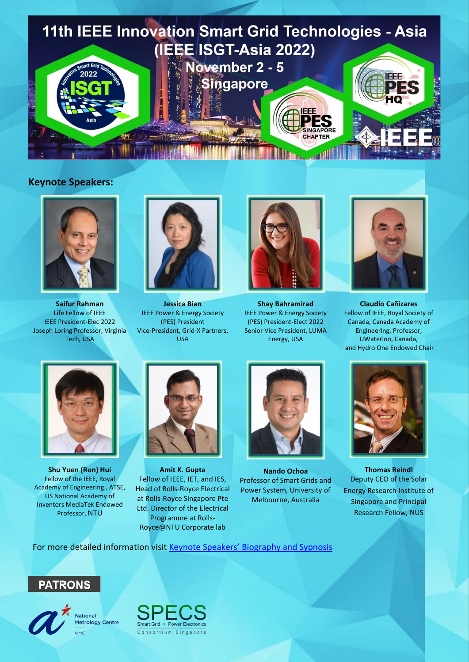

#### **Keynote Speakers:**



**Saifur Rahman** Life Fellow of IEEE IEEE President-Elec 2022 Joseph Loring Professor, Virginia Tech, USA



**Jessica Bian** IEEE Power & Energy Society (PES) President Vice-President, Grid-X Partners, USA



**Shay Bahramirad** IEEE Power & Energy Society (PES) President-Elect 2022 Senior Vice President, LUMA Energy, USA



**Claudio Cañizares** Fellow of IEEE, Royal Society of Canada, Canada Academy of Engineering, Professor, UWaterloo, Canada, and Hydro One Endowed Chair



**Shu Yuen (Ron) Hui** Fellow of the IEEE, Royal Academy of Engineering., ATSE, US National Academy of Inventors MediaTek Endowed Professor, NTU



**Amit K. Gupta** Fellow of IEEE, IET, and IES, Head of Rolls-Royce Electrical at Rolls-Royce Singapore Pte Ltd. Director of the Electrical Programme at Rolls-Royce@NTU Corporate lab



**Nando Ochoa** Professor of Smart Grids and Power System, University of Melbourne, Australia



**Thomas Reindl** Deputy CEO of the Solar Energy Research Institute of Singapore and Principal Research Fellow, NUS

For more detailed information visit [Keynote Speakers](https://ieee-isgt-asia.org/program/keynote-speakers/)' Biography and Sypnosis





**National** Metrology Centre **NMC** 

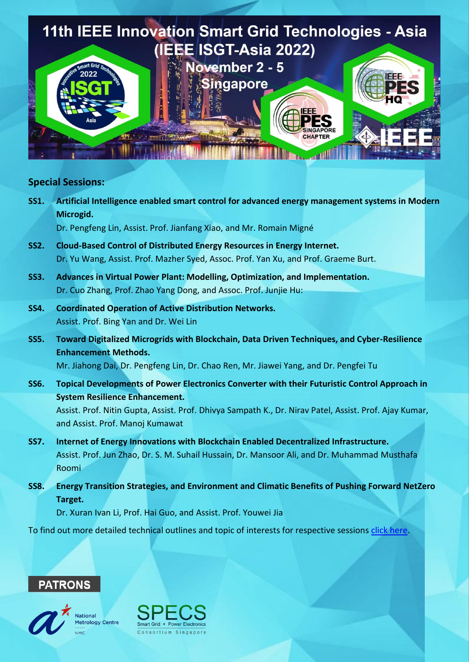

#### **Special Sessions:**

**SS1. Artificial Intelligence enabled smart control for advanced energy management systems in Modern Microgid.**

Dr. Pengfeng Lin, Assist. Prof. Jianfang Xiao, and Mr. Romain Migné

- **SS2. Cloud-Based Control of Distributed Energy Resources in Energy Internet.** Dr. Yu Wang, Assist. Prof. Mazher Syed, Assoc. Prof. Yan Xu, and Prof. Graeme Burt.
- **SS3. Advances in Virtual Power Plant: Modelling, Optimization, and Implementation.** Dr. Cuo Zhang, Prof. Zhao Yang Dong, and Assoc. Prof. Junjie Hu:
- **SS4. Coordinated Operation of Active Distribution Networks.** Assist. Prof. Bing Yan and Dr. Wei Lin

and Assist. Prof. Manoj Kumawat

**SS5. Toward Digitalized Microgrids with Blockchain, Data Driven Techniques, and Cyber-Resilience Enhancement Methods.**

Mr. Jiahong Dai, Dr. Pengfeng Lin, Dr. Chao Ren, Mr. Jiawei Yang, and Dr. Pengfei Tu

- **SS6. Topical Developments of Power Electronics Converter with their Futuristic Control Approach in System Resilience Enhancement.** Assist. Prof. Nitin Gupta, Assist. Prof. Dhivya Sampath K., Dr. Nirav Patel, Assist. Prof. Ajay Kumar,
- **SS7. Internet of Energy Innovations with Blockchain Enabled Decentralized Infrastructure.** Assist. Prof. Jun Zhao, Dr. S. M. Suhail Hussain, Dr. Mansoor Ali, and Dr. Muhammad Musthafa Roomi
- **SS8. Energy Transition Strategies, and Environment and Climatic Benefits of Pushing Forward NetZero Target.**

Dr. Xuran Ivan Li, Prof. Hai Guo, and Assist. Prof. Youwei Jia

To find out more detailed technical outlines and topic of interests for respective sessions [click here.](https://ieee-isgt-asia.org/for-authors/call-for-special-session-paper/)





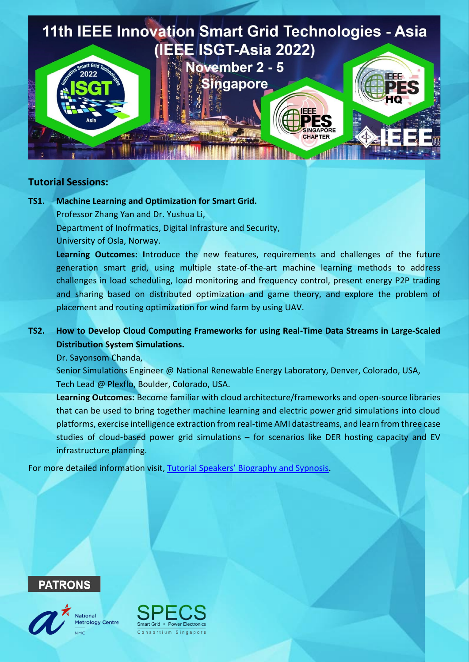

#### **Tutorial Sessions:**

**TS1. Machine Learning and Optimization for Smart Grid.** Professor Zhang Yan and Dr. Yushua Li, Department of Inofrmatics, Digital Infrasture and Security, University of Osla, Norway.

> **Learning Outcomes: I**ntroduce the new features, requirements and challenges of the future generation smart grid, using multiple state-of-the-art machine learning methods to address challenges in load scheduling, load monitoring and frequency control, present energy P2P trading and sharing based on distributed optimization and game theory, and explore the problem of placement and routing optimization for wind farm by using UAV.

### **TS2. How to Develop Cloud Computing Frameworks for using Real-Time Data Streams in Large-Scaled Distribution System Simulations.**

Dr. Sayonsom Chanda,

Senior Simulations Engineer @ National Renewable Energy Laboratory, Denver, Colorado, USA, Tech Lead @ Plexflo, Boulder, Colorado, USA.

**Learning Outcomes:** Become familiar with cloud architecture/frameworks and open-source libraries that can be used to bring together machine learning and electric power grid simulations into cloud platforms, exercise intelligence extraction from real-time AMI datastreams, and learn from three case studies of cloud-based power grid simulations – for scenarios like DER hosting capacity and EV infrastructure planning.

For more detailed information visit, [Tutorial Speakers' Biography and Sypnosis](https://ieee-isgt-asia.org/program_old/tutorials/).





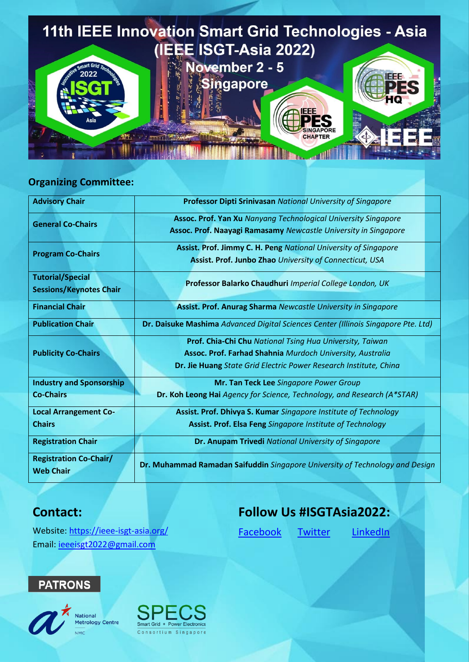

### **Organizing Committee:**

| <b>Advisory Chair</b>                             | <b>Professor Dipti Srinivasan National University of Singapore</b>                 |
|---------------------------------------------------|------------------------------------------------------------------------------------|
| <b>General Co-Chairs</b>                          | <b>Assoc. Prof. Yan Xu Nanyang Technological University Singapore</b>              |
|                                                   | Assoc. Prof. Naayagi Ramasamy Newcastle University in Singapore                    |
| <b>Program Co-Chairs</b>                          | Assist. Prof. Jimmy C. H. Peng National University of Singapore                    |
|                                                   | Assist. Prof. Junbo Zhao University of Connecticut, USA                            |
| <b>Tutorial/Special</b>                           | Professor Balarko Chaudhuri Imperial College London, UK                            |
| <b>Sessions/Keynotes Chair</b>                    |                                                                                    |
| <b>Financial Chair</b>                            | Assist. Prof. Anurag Sharma Newcastle University in Singapore                      |
| <b>Publication Chair</b>                          | Dr. Daisuke Mashima Advanced Digital Sciences Center (Illinois Singapore Pte. Ltd) |
| <b>Publicity Co-Chairs</b>                        | Prof. Chia-Chi Chu National Tsing Hua University, Taiwan                           |
|                                                   | Assoc. Prof. Farhad Shahnia Murdoch University, Australia                          |
|                                                   | Dr. Jie Huang State Grid Electric Power Research Institute, China                  |
| <b>Industry and Sponsorship</b>                   | Mr. Tan Teck Lee Singapore Power Group                                             |
| <b>Co-Chairs</b>                                  | Dr. Koh Leong Hai Agency for Science, Technology, and Research (A*STAR)            |
| <b>Local Arrangement Co-</b>                      | Assist. Prof. Dhivya S. Kumar Singapore Institute of Technology                    |
| <b>Chairs</b>                                     | Assist. Prof. Elsa Feng Singapore Institute of Technology                          |
| <b>Registration Chair</b>                         | Dr. Anupam Trivedi National University of Singapore                                |
| <b>Registration Co-Chair/</b><br><b>Web Chair</b> | Dr. Muhammad Ramadan Saifuddin Singapore University of Technology and Design       |

# **Contact:**

# **Follow Us #ISGTAsia2022:**

[Facebook](https://www.facebook.com/profile.php?id=100078388742524) [Twitter](https://twitter.com/IsgtAsia) [LinkedIn](https://www.linkedin.com/in/isgt-asia-twentytwentytwo-435744231/)

Website: <https://ieee-isgt-asia.org/> Email: [ieeeisgt2022@gmail.com](mailto:ieeeisgt2022@gmail.com)

# **PATRONS**



National Metrology Centre **NMC**